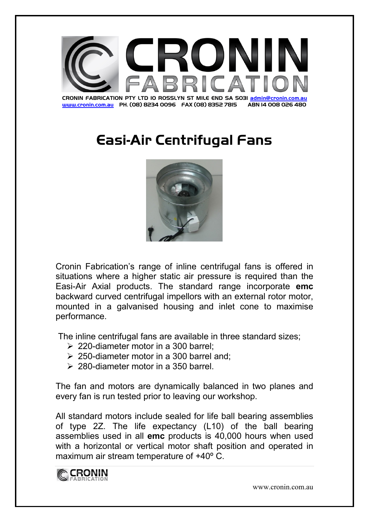

## Easi-Air Centrifugal Fans



Cronin Fabrication's range of inline centrifugal fans is offered in situations where a higher static air pressure is required than the Easi-Air Axial products. The standard range incorporate **emc** backward curved centrifugal impellors with an external rotor motor, mounted in a galvanised housing and inlet cone to maximise performance.

The inline centrifugal fans are available in three standard sizes;

- $\geq 220$ -diameter motor in a 300 barrel:
- $\geq$  250-diameter motor in a 300 barrel and:
- $\geq 280$ -diameter motor in a 350 barrel

The fan and motors are dynamically balanced in two planes and every fan is run tested prior to leaving our workshop.

All standard motors include sealed for life ball bearing assemblies of type 2Z. The life expectancy (L10) of the ball bearing assemblies used in all **emc** products is 40,000 hours when used with a horizontal or vertical motor shaft position and operated in maximum air stream temperature of +40º C.



www.cronin.com.au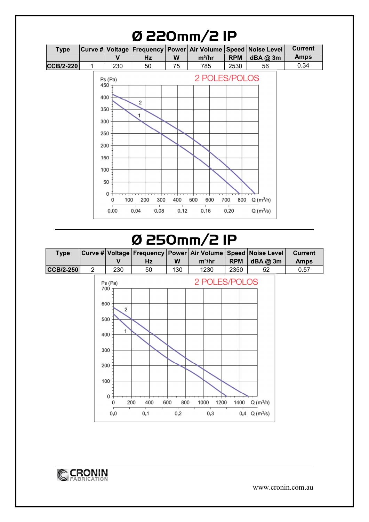| <b>CCB/2-220</b> | 1<br>450<br>400<br>350 | v<br>230<br>Ps (Pa) | Hz<br>50<br>2 | W<br>75 | $m^3/hr$<br>785<br>2 POLES/POLOS | <b>RPM</b><br>2530 | dBA@3m<br>56 | <b>Amps</b><br>0.34 |
|------------------|------------------------|---------------------|---------------|---------|----------------------------------|--------------------|--------------|---------------------|
|                  |                        |                     |               |         |                                  |                    |              |                     |
|                  |                        |                     |               |         |                                  |                    |              |                     |
|                  |                        |                     |               |         |                                  |                    |              |                     |
|                  |                        |                     |               |         |                                  |                    |              |                     |
|                  |                        |                     |               |         |                                  |                    |              |                     |
|                  |                        |                     | $\mathbf{1}$  |         |                                  |                    |              |                     |
|                  | 300                    |                     |               |         |                                  |                    |              |                     |
|                  | 250                    |                     |               |         |                                  |                    |              |                     |
|                  | 200                    |                     |               |         |                                  |                    |              |                     |
|                  | 150                    |                     |               |         |                                  |                    |              |                     |
|                  | 100                    |                     |               |         |                                  |                    |              |                     |
|                  |                        | 50                  |               |         |                                  |                    |              |                     |
|                  |                        | 0                   |               |         |                                  |                    |              |                     |
|                  |                        | 100<br>0            | 200<br>300    | 400     | 500<br>600                       | 700<br>800         | $Q(m^3/h)$   |                     |

## Ø 250mm/2 1P





www.cronin.com.au